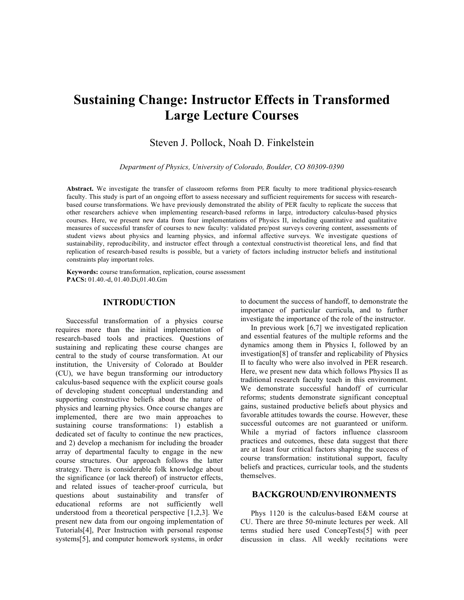# **Sustaining Change: Instructor Effects in Transformed Large Lecture Courses**

# Steven J. Pollock, Noah D. Finkelstein

*Department of Physics, University of Colorado, Boulder, CO 80309-0390*

**Abstract.** We investigate the transfer of classroom reforms from PER faculty to more traditional physics-research faculty. This study is part of an ongoing effort to assess necessary and sufficient requirements for success with researchbased course transformations. We have previously demonstrated the ability of PER faculty to replicate the success that other researchers achieve when implementing research-based reforms in large, introductory calculus-based physics courses. Here, we present new data from four implementations of Physics II, including quantitative and qualitative measures of successful transfer of courses to new faculty: validated pre/post surveys covering content, assessments of student views about physics and learning physics, and informal affective surveys. We investigate questions of sustainability, reproducibility, and instructor effect through a contextual constructivist theoretical lens, and find that replication of research-based results is possible, but a variety of factors including instructor beliefs and institutional constraints play important roles.

**Keywords:** course transformation, replication, course assessment **PACS:** 01.40.-d, 01.40.Di,01.40.Gm

#### **INTRODUCTION**

Successful transformation of a physics course requires more than the initial implementation of research-based tools and practices. Questions of sustaining and replicating these course changes are central to the study of course transformation. At our institution, the University of Colorado at Boulder (CU), we have begun transforming our introductory calculus-based sequence with the explicit course goals of developing student conceptual understanding and supporting constructive beliefs about the nature of physics and learning physics. Once course changes are implemented, there are two main approaches to sustaining course transformations: 1) establish a dedicated set of faculty to continue the new practices, and 2) develop a mechanism for including the broader array of departmental faculty to engage in the new course structures. Our approach follows the latter strategy. There is considerable folk knowledge about the significance (or lack thereof) of instructor effects, and related issues of teacher-proof curricula, but questions about sustainability and transfer of educational reforms are not sufficiently well understood from a theoretical perspective [1,2,3]. We present new data from our ongoing implementation of Tutorials[4], Peer Instruction with personal response systems[5], and computer homework systems, in order to document the success of handoff, to demonstrate the importance of particular curricula, and to further investigate the importance of the role of the instructor.

In previous work [6,7] we investigated replication and essential features of the multiple reforms and the dynamics among them in Physics I, followed by an investigation[8] of transfer and replicability of Physics II to faculty who were also involved in PER research. Here, we present new data which follows Physics II as traditional research faculty teach in this environment. We demonstrate successful handoff of curricular reforms; students demonstrate significant conceptual gains, sustained productive beliefs about physics and favorable attitudes towards the course. However, these successful outcomes are not guaranteed or uniform. While a myriad of factors influence classroom practices and outcomes, these data suggest that there are at least four critical factors shaping the success of course transformation: institutional support, faculty beliefs and practices, curricular tools, and the students themselves.

#### **BACKGROUND/ENVIRONMENTS**

Phys 1120 is the calculus-based E&M course at CU. There are three 50-minute lectures per week. All terms studied here used ConcepTests[5] with peer discussion in class. All weekly recitations were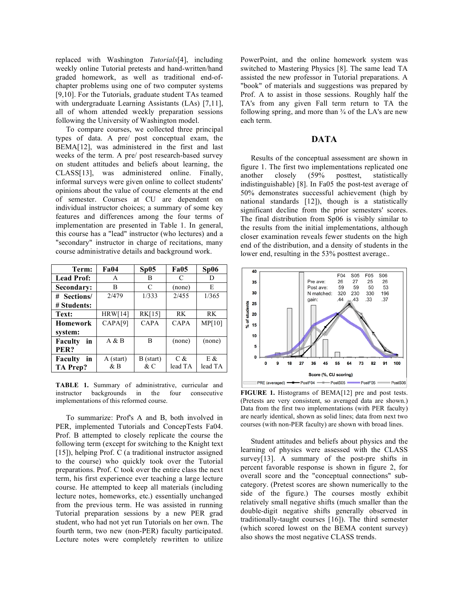replaced with Washington *Tutorials*[4], including weekly online Tutorial pretests and hand-written/hand graded homework, as well as traditional end-ofchapter problems using one of two computer systems [9,10]. For the Tutorials, graduate student TAs teamed with undergraduate Learning Assistants (LAs) [7,11], all of whom attended weekly preparation sessions following the University of Washington model.

To compare courses, we collected three principal types of data. A pre/ post conceptual exam, the BEMA[12], was administered in the first and last weeks of the term. A pre/ post research-based survey on student attitudes and beliefs about learning, the CLASS[13], was administered online. Finally, informal surveys were given online to collect students' opinions about the value of course elements at the end of semester. Courses at CU are dependent on individual instructor choices; a summary of some key features and differences among the four terms of implementation are presented in Table 1. In general, this course has a "lead" instructor (who lectures) and a "secondary" instructor in charge of recitations, many course administrative details and background work.

| Term:                | <b>Fa04</b> | Sp05          | <b>Fa05</b> | Sp06      |
|----------------------|-------------|---------------|-------------|-----------|
| <b>Lead Prof:</b>    | A           | B             | C           | D         |
| Secondary:           | в           | $\mathcal{C}$ | (none)      | E         |
| # Sections/          | 2/479       | 1/333         | 2/455       | 1/365     |
| # Students:          |             |               |             |           |
| Text:                | HRW[14]     | RK[15]        | <b>RK</b>   | <b>RK</b> |
| <b>Homework</b>      | CAPA[9]     | CAPA          | <b>CAPA</b> | MP[10]    |
| system:              |             |               |             |           |
| <b>Faculty</b><br>in | A & B       | B             | (none)      | (none)    |
| PER?                 |             |               |             |           |
| in<br><b>Faculty</b> | A (start)   | B (start)     | $C \&$      | E &       |
| TA Prep?             | & B         | $\&c$         | lead TA     | lead TA   |

**TABLE 1.** Summary of administrative, curricular and instructor backgrounds in the four consecutive implementations of this reformed course.

To summarize: Prof's A and B, both involved in PER, implemented Tutorials and ConcepTests Fa04. Prof. B attempted to closely replicate the course the following term (except for switching to the Knight text [15]), helping Prof. C (a traditional instructor assigned to the course) who quickly took over the Tutorial preparations. Prof. C took over the entire class the next term, his first experience ever teaching a large lecture course. He attempted to keep all materials (including lecture notes, homeworks, etc.) essentially unchanged from the previous term. He was assisted in running Tutorial preparation sessions by a new PER grad student, who had not yet run Tutorials on her own. The fourth term, two new (non-PER) faculty participated. Lecture notes were completely rewritten to utilize

PowerPoint, and the online homework system was switched to Mastering Physics [8]. The same lead TA assisted the new professor in Tutorial preparations. A "book" of materials and suggestions was prepared by Prof. A to assist in those sessions. Roughly half the TA's from any given Fall term return to TA the following spring, and more than  $\frac{3}{4}$  of the LA's are new each term.

#### **DATA**

Results of the conceptual assessment are shown in figure 1. The first two implementations replicated one another closely (59% posttest, statistically indistinguishable) [8]. In Fa05 the post-test average of 50% demonstrates successful achievement (high by national standards [12]), though is a statistically significant decline from the prior semesters' scores. The final distribution from Sp06 is visibly similar to the results from the initial implementations, although closer examination reveals fewer students on the high end of the distribution, and a density of students in the lower end, resulting in the 53% posttest average...



**FIGURE 1.** Histograms of BEMA[12] pre and post tests. (Pretests are very consistent, so averaged data are shown.) Data from the first two implementations (with PER faculty) are nearly identical, shown as solid lines; data from next two courses (with non-PER faculty) are shown with broad lines.

Student attitudes and beliefs about physics and the learning of physics were assessed with the CLASS survey[13]. A summary of the post-pre shifts in percent favorable response is shown in figure 2, for overall score and the "conceptual connections" subcategory. (Pretest scores are shown numerically to the side of the figure.) The courses mostly exhibit relatively small negative shifts (much smaller than the double-digit negative shifts generally observed in traditionally-taught courses [16]). The third semester (which scored lowest on the BEMA content survey) also shows the most negative CLASS trends.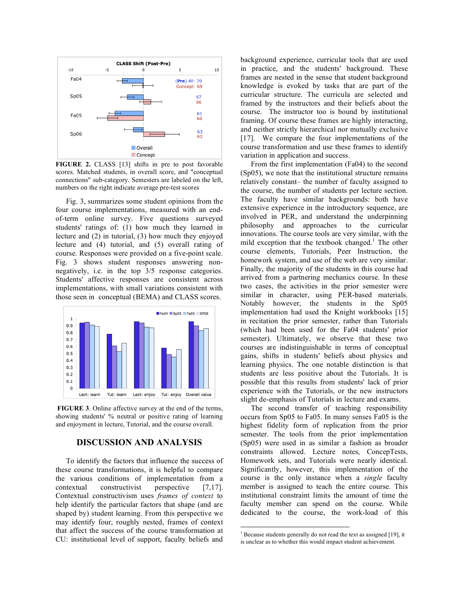

**FIGURE 2.** CLASS [13] shifts in pre to post favorable scores. Matched students, in overall score, and "conceptual connections" sub-category. Semesters are labeled on the left, numbers on the right indicate average pre-test scores

Fig. 3, summarizes some student opinions from the four course implementations, measured with an endof-term online survey. Five questions surveyed students' ratings of: (1) how much they learned in lecture and (2) in tutorial, (3) how much they enjoyed lecture and (4) tutorial, and (5) overall rating of course. Responses were provided on a five-point scale. Fig. 3 shows student responses answering nonnegatively, i.e. in the top 3/5 response categories. Students' affective responses are consistent across implementations, with small variations consistent with those seen in conceptual (BEMA) and CLASS scores.



**FIGURE 3**. Online affective survey at the end of the terms, showing students' % neutral or positive rating of learning and enjoyment in lecture, Tutorial, and the course overall.

## **DISCUSSION AND ANALYSIS**

To identify the factors that influence the success of these course transformations, it is helpful to compare the various conditions of implementation from a contextual constructivist perspective [7,17]. Contextual constructivism uses *frames of context* to help identify the particular factors that shape (and are shaped by) student learning. From this perspective we may identify four, roughly nested, frames of context that affect the success of the course transformation at CU: institutional level of support, faculty beliefs and

background experience, curricular tools that are used in practice, and the students' background. These frames are nested in the sense that student background knowledge is evoked by tasks that are part of the curricular structure. The curricula are selected and framed by the instructors and their beliefs about the course. The instructor too is bound by institutional framing. Of course these frames are highly interacting, and neither strictly hierarchical nor mutually exclusive [17]. We compare the four implementations of the course transformation and use these frames to identify variation in application and success.

From the first implementation (Fa04) to the second (Sp05), we note that the institutional structure remains relatively constant– the number of faculty assigned to the course, the number of students per lecture section. The faculty have similar backgrounds: both have extensive experience in the introductory sequence, are involved in PER, and understand the underpinning philosophy and approaches to the curricular innovations. The course tools are very similar, with the mild exception that the textbook changed. <sup>1</sup> The other course elements, Tutorials, Peer Instruction, the homework system, and use of the web are very similar. Finally, the majority of the students in this course had arrived from a partnering mechanics course. In these two cases, the activities in the prior semester were similar in character, using PER-based materials. Notably however, the students in the Sp05 implementation had used the Knight workbooks [15] in recitation the prior semester, rather than Tutorials (which had been used for the Fa04 students' prior semester). Ultimately, we observe that these two courses are indistinguishable in terms of conceptual gains, shifts in students' beliefs about physics and learning physics. The one notable distinction is that students are less positive about the Tutorials. It is possible that this results from students' lack of prior experience with the Tutorials, or the new instructors slight de-emphasis of Tutorials in lecture and exams.

The second transfer of teaching responsibility occurs from Sp05 to Fa05. In many senses Fa05 is the highest fidelity form of replication from the prior semester. The tools from the prior implementation (Sp05) were used in as similar a fashion as broader constraints allowed. Lecture notes, ConcepTests, Homework sets, and Tutorials were nearly identical. Significantly, however, this implementation of the course is the only instance when a *single* faculty member is assigned to teach the entire course. This institutional constraint limits the amount of time the faculty member can spend on the course. While dedicated to the course, the work-load of this

 $1$  Because students generally do not read the text as assigned [19], it is unclear as to whether this would impact student achievement.